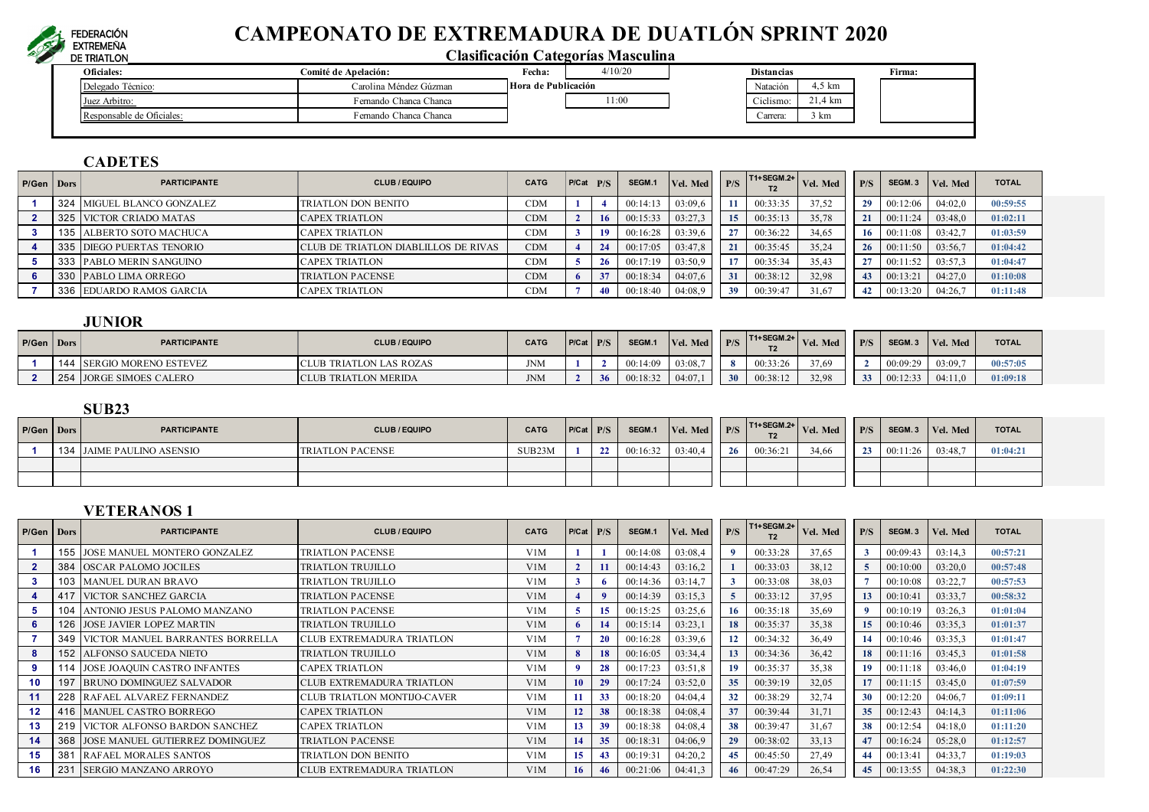

# **CAMPEONATO DE EXTREMADURA DE DUATLÓN SPRINT 2020**

# **Clasificación Categorías Masculina**

| Oficiales:                | Fecha:<br><b>Comité de Anelación:</b> |                     | 4/10/20 | <b>Distancias</b> |                         | Firma: |
|---------------------------|---------------------------------------|---------------------|---------|-------------------|-------------------------|--------|
| Delegado Técnico:         | Carolina Méndez Gúzman                | Hora de Publicación |         | Natación          | $\epsilon$ 1.<br>l.5 km |        |
| Juez Arbitro:             | Fernando Chanca Chanca                |                     | 1:00    | Ciclismo.         | 21,4 km                 |        |
| Responsable de Oficiales: | Fernando Chanca Chanca                |                     |         | Carrera:          | 3 km                    |        |

# **CADETES**

| P/Gen | <b>Dors</b> | <b>PARTICIPANTE</b>        | <b>CLUB / EQUIPO</b>                 | <b>CATG</b> | P/Cat | P/S | SEGM.1   | Vel. Med | P/S              | T1+SEGM.2+ | Vel. Med | P/S | SEGM <sub>.3</sub> | Vel. Med | <b>TOTAL</b> |
|-------|-------------|----------------------------|--------------------------------------|-------------|-------|-----|----------|----------|------------------|------------|----------|-----|--------------------|----------|--------------|
|       |             | 324 MIGUEL BLANCO GONZALEZ | TRIATLON DON BENITO                  | <b>CDM</b>  |       |     | 00:14:13 | 03:09.6  |                  | 00:33:35   | 37,52    | 29  | 00:12:06           | 04:02,0  | 00:59:55     |
|       | 325         | VICTOR CRIADO MATAS        | <b>CAPEX TRIATLON</b>                | <b>CDM</b>  |       |     | 00:15:33 | 03:27.3  | 15 <sup>15</sup> | 00:35:13   | 35,78    |     | 00:11:24           | 03:48,0  | 01:02:11     |
|       |             | 135 ALBERTO SOTO MACHUCA   | CAPEX TRIATLON                       | <b>CDM</b>  |       |     | 00:16:28 | 03:39.6  |                  | 00:36:22   | 34,65    | 16  | 00:11:08           | 03:42,7  | 01:03:59     |
|       |             | 335 DIEGO PUERTAS TENORIO  | CLUB DE TRIATLON DIABLILLOS DE RIVAS | <b>CDM</b>  |       | 24  | 00:17:05 | 03:47,8  | 21               | 00:35:45   | 35,24    | 26. | 00:11:50           | 03:56,7  | 01:04:42     |
|       |             | 333 PABLO MERIN SANGUINO   | <b>CAPEX TRIATLON</b>                | <b>CDM</b>  |       | 26  | 00:17:19 | 03:50.9  |                  | 00:35:34   | 35,43    |     | 00:11:52           | 03:57,3  | 01:04:47     |
|       |             | 330 PABLO LIMA ORREGO      | <b>TRIATLON PACENSE</b>              | <b>CDM</b>  |       |     | 00:18:34 | 04:07,6  | 31               | 00:38:12   | 32,98    |     | 00:13:21           | 04:27.0  | 01:10:08     |
|       |             | 336 EDUARDO RAMOS GARCIA   | <b>CAPEX TRIATLON</b>                | <b>CDM</b>  |       | 40  | 00:18:40 | 04:08.9  | 39               | 00:39:47   | 31,67    |     | 00:13:20           | 04:26.7  | 01:11:48     |

# **JUNIOR**

| P/Gen   Dors |     | <b>PARTICIPANTE</b>          | <b>CLUB / EQUIPO</b>   | <b>CATG</b> | $P/Cat$ $P/S$ |    | SEGM.1   | Vel. Med | P/S | T1+SEGM.2+<br>1 Z | Vel. Med | P/S                  | SEGM.    | Vel. Med | <b>TOTAL</b> |
|--------------|-----|------------------------------|------------------------|-------------|---------------|----|----------|----------|-----|-------------------|----------|----------------------|----------|----------|--------------|
|              | 144 | <b>SERGIO MORENO ESTEVEZ</b> | LUB TRIATLON LAS ROZAS | <b>JNM</b>  |               |    | 00:14:09 | 03:08    |     | 00:33:26          | 37,69    |                      | 00:09:29 | 03:09.7  | 00:57:05     |
|              | 254 | <b>JORGE SIMOES CALERO</b>   | 3 TRIATLON MERIDA      | <b>JNM</b>  |               | 26 | 00:18:32 | 04:07    | 20  | 00:38:12          | 32,98    | $\mathcal{L}$<br>ັບປ | 00:12:33 | 04:11.0  | 01:09:18     |

#### **SUB23**

| P/Gen Dors | <b>PARTICIPANTE</b>       | <b>CLUB / EQUIPO</b>    | <b>CATG</b> | $P/Cat$ $P/S$ | SEGM.1   | Vel. Med | P/S      | $TT1+SEGM.2+$<br>T <sub>2</sub> | Vel. Med | P/S | SEGM.3   | Vel. Med | <b>TOTAL</b> |
|------------|---------------------------|-------------------------|-------------|---------------|----------|----------|----------|---------------------------------|----------|-----|----------|----------|--------------|
|            | 134 JAIME PAULINO ASENSIO | <b>TRIATLON PACENSE</b> | SUB23M      |               | 00:16:32 | 03:40,4  | $\alpha$ | 00:36:21                        | 34.66    | 23  | 00:11:26 | 03:48.7  | 01:04:21     |
|            |                           |                         |             |               |          |          |          |                                 |          |     |          |          |              |
|            |                           |                         |             |               |          |          |          |                                 |          |     |          |          |              |

# **VETERANOS 1**

| P/Gen   Dors   |     | <b>PARTICIPANTE</b>                           | <b>CLUB / EQUIPO</b>               | <b>CATG</b>      | P/Cat | P/S          | SEGM.1   | Vel. Med | P/S | T1+SEGM.2+<br>T2 | Vel. Med | P/S | SEGM.3   | Vel. Med | <b>TOTAL</b> |
|----------------|-----|-----------------------------------------------|------------------------------------|------------------|-------|--------------|----------|----------|-----|------------------|----------|-----|----------|----------|--------------|
|                |     | <b>155 JOSE MANUEL MONTERO GONZALEZ</b>       | <b>TRIATLON PACENSE</b>            | V1M              |       |              | 00:14:08 | 03:08,4  |     | 00:33:28         | 37,65    |     | 00:09:43 | 03:14,3  | 00:57:21     |
| $\overline{2}$ |     | 384 OSCAR PALOMO JOCILES                      | TRIATLON TRUJILLO                  | V1M              |       | 11           | 00:14:43 | 03:16,2  |     | 00:33:03         | 38,12    |     | 00:10:00 | 03:20,0  | 00:57:48     |
| 3              |     | 103 MANUEL DURAN BRAVO                        | TRIATLON TRUJILLO                  | V1M              |       |              | 00:14:36 | 03:14,7  |     | 00:33:08         | 38,03    |     | 00:10:08 | 03:22.7  | 00:57:53     |
| 4              |     | 417 VICTOR SANCHEZ GARCIA                     | <b>TRIATLON PACENSE</b>            | V1M              |       | $\mathbf{Q}$ | 00:14:39 | 03:15,3  |     | 00:33:12         | 37,95    | 13  | 00:10:41 | 03:33,7  | 00:58:32     |
|                |     | 104 ANTONIO JESUS PALOMO MANZANO              | <b>TRIATLON PACENSE</b>            | V <sub>1</sub> M |       | 15           | 00:15:25 | 03:25,6  | 16  | 00:35:18         | 35,69    |     | 00:10:19 | 03:26,3  | 01:01:04     |
|                |     | 126 JOSE JAVIER LOPEZ MARTIN                  | <b>TRIATLON TRUJILLO</b>           | V1M              |       | 14           | 00:15:14 | 03:23.1  | 18  | 00:35:37         | 35,38    | 15  | 00:10:46 | 03:35,3  | 01:01:37     |
|                |     | <b>349   VICTOR MANUEL BARRANTES BORRELLA</b> | CLUB EXTREMADURA TRIATLON          | V <sub>1</sub> M |       | <b>20</b>    | 00:16:28 | 03:39.6  |     | 00:34:32         | 36,49    | 14  | 00:10:46 | 03:35.3  | 01:01:47     |
|                |     | <b>152 ALFONSO SAUCEDA NIETO</b>              | <b>TRIATLON TRUJILLO</b>           | V1M              |       | 18           | 00:16:05 | 03:34,4  | 13  | 00:34:36         | 36,42    | 18  | 00:11:16 | 03:45.3  | 01:01:58     |
| 9              |     | 114 JOSE JOAQUIN CASTRO INFANTES              | <b>CAPEX TRIATLON</b>              | V1M              |       | 28           | 00:17:23 | 03:51.8  | 19  | 00:35:37         | 35,38    | 19  | 00:11:18 | 03:46,0  | 01:04:19     |
| 10             | 197 | <b>BRUNO DOMINGUEZ SALVADOR</b>               | <b>CLUB EXTREMADURA TRIATLON</b>   | V1M              | 10    | 29           | 00:17:24 | 03:52,0  | 35  | 00:39:19         | 32,05    | 17  | 00:11:15 | 03:45,0  | 01:07:59     |
| 11             |     | 228 RAFAEL ALVAREZ FERNANDEZ                  | <b>CLUB TRIATLON MONTIJO-CAVER</b> | V1M              |       | 33           | 00:18:20 | 04:04.4  | 32  | 00:38:29         | 32,74    | 30  | 00:12:20 | 04:06.7  | 01:09:11     |
| 12             |     | 416 MANUEL CASTRO BORREGO                     | <b>CAPEX TRIATLON</b>              | V <sub>1</sub> M | 12    | 38           | 00:18:38 | 04:08.4  | 37  | 00:39:44         | 31,71    | 35  | 00:12:43 | 04:14,3  | 01:11:06     |
| 13             |     | 219 VICTOR ALFONSO BARDON SANCHEZ             | <b>CAPEX TRIATLON</b>              | V1M              | 13    | 39           | 00:18:38 | 04:08.4  | 38  | 00:39:47         | 31,67    | 38  | 00:12:54 | 04:18,0  | 01:11:20     |
| 14             |     | 368 JOSE MANUEL GUTIERREZ DOMINGUEZ           | <b>TRIATLON PACENSE</b>            | V1M              | 14    | 35           | 00:18:31 | 04:06,9  | 29  | 00:38:02         | 33,13    | 47  | 00:16:24 | 05:28,0  | 01:12:57     |
| 15             | 381 | <b>RAFAEL MORALES SANTOS</b>                  | TRIATLON DON BENITO                | V1M              | 15    | -43          | 00:19:31 | 04:20.2  | 45  | 00:45:50         | 27,49    | 44  | 00:13:41 | 04:33,7  | 01:19:03     |
| 16             | 231 | <b>SERGIO MANZANO ARROYO</b>                  | <b>CLUB EXTREMADURA TRIATLON</b>   | V1M              | 16    | 46           | 00:21:06 | 04:41.3  | 46  | 00:47:29         | 26,54    | 45  | 00:13:55 | 04:38.3  | 01:22:30     |